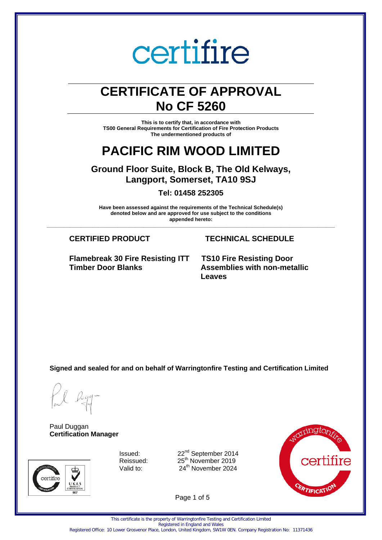## **CERTIFICATE OF APPROVAL No CF 5260**

**This is to certify that, in accordance with TS00 General Requirements for Certification of Fire Protection Products The undermentioned products of**

### **PACIFIC RIM WOOD LIMITED**

**Ground Floor Suite, Block B, The Old Kelways, Langport, Somerset, TA10 9SJ**

**Tel: 01458 252305**

**Have been assessed against the requirements of the Technical Schedule(s) denoted below and are approved for use subject to the conditions appended hereto: \_\_\_\_\_\_\_\_\_\_\_\_\_\_\_\_\_\_\_\_\_\_\_\_\_\_\_\_\_\_\_\_\_\_\_\_\_\_\_\_\_\_\_\_\_\_\_\_\_\_\_\_\_\_\_\_\_\_\_\_\_\_\_\_\_\_\_\_\_\_\_\_\_\_\_\_\_\_\_\_\_\_\_\_\_\_\_\_\_\_\_\_\_\_\_\_\_\_\_\_\_**

**Flamebreak 30 Fire Resisting ITT Timber Door Blanks**

#### **CERTIFIED PRODUCT TECHNICAL SCHEDULE**

**TS10 Fire Resisting Door Assemblies with non-metallic Leaves**

**Signed and sealed for and on behalf of Warringtonfire Testing and Certification Limited**

Paul Duggan **Certification Manager**





Valid to:  $24<sup>th</sup>$  November 2024



Page 1 of 5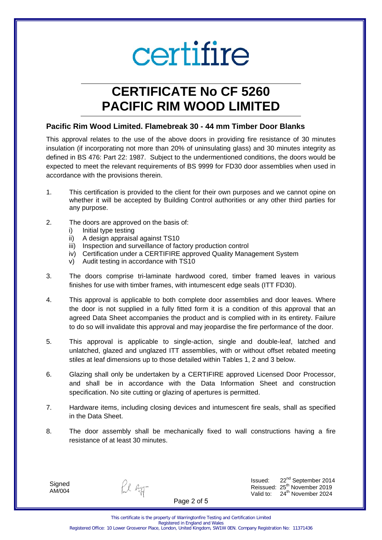## **CERTIFICATE No CF 5260 PACIFIC RIM WOOD LIMITED**

#### **Pacific Rim Wood Limited. Flamebreak 30 - 44 mm Timber Door Blanks**

This approval relates to the use of the above doors in providing fire resistance of 30 minutes insulation (if incorporating not more than 20% of uninsulating glass) and 30 minutes integrity as defined in BS 476: Part 22: 1987. Subject to the undermentioned conditions, the doors would be expected to meet the relevant requirements of BS 9999 for FD30 door assemblies when used in accordance with the provisions therein.

- 1. This certification is provided to the client for their own purposes and we cannot opine on whether it will be accepted by Building Control authorities or any other third parties for any purpose.
- 2. The doors are approved on the basis of:
	- i) Initial type testing
	- ii) A design appraisal against TS10
	- iii) Inspection and surveillance of factory production control
	- iv) Certification under a CERTIFIRE approved Quality Management System
	- v) Audit testing in accordance with TS10
- 3. The doors comprise tri-laminate hardwood cored, timber framed leaves in various finishes for use with timber frames, with intumescent edge seals (ITT FD30).
- 4. This approval is applicable to both complete door assemblies and door leaves. Where the door is not supplied in a fully fitted form it is a condition of this approval that an agreed Data Sheet accompanies the product and is complied with in its entirety. Failure to do so will invalidate this approval and may jeopardise the fire performance of the door.
- 5. This approval is applicable to single-action, single and double-leaf, latched and unlatched, glazed and unglazed ITT assemblies, with or without offset rebated meeting stiles at leaf dimensions up to those detailed within Tables 1, 2 and 3 below.
- 6. Glazing shall only be undertaken by a CERTIFIRE approved Licensed Door Processor, and shall be in accordance with the Data Information Sheet and construction specification. No site cutting or glazing of apertures is permitted.
- 7. Hardware items, including closing devices and intumescent fire seals, shall as specified in the Data Sheet.
- 8. The door assembly shall be mechanically fixed to wall constructions having a fire resistance of at least 30 minutes.

**Signed** AM/004

fil egg-

Issued: 22nd September 2014 Reissued: 25<sup>th</sup> November 2019<br>Valid to: 24<sup>th</sup> November 2024 24<sup>th</sup> November 2024

Page 2 of 5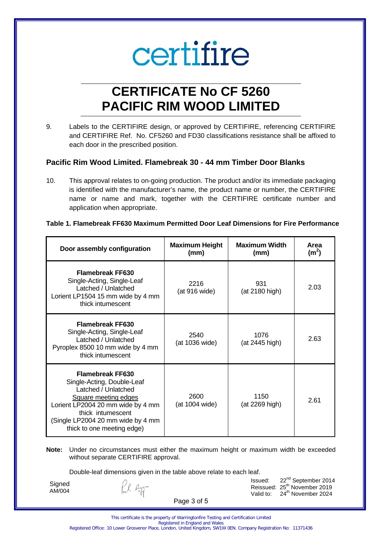## **CERTIFICATE No CF 5260 PACIFIC RIM WOOD LIMITED**

9. Labels to the CERTIFIRE design, or approved by CERTIFIRE, referencing CERTIFIRE and CERTIFIRE Ref. No. CF5260 and FD30 classifications resistance shall be affixed to each door in the prescribed position.

#### **Pacific Rim Wood Limited. Flamebreak 30 - 44 mm Timber Door Blanks**

10. This approval relates to on-going production. The product and/or its immediate packaging is identified with the manufacturer's name, the product name or number, the CERTIFIRE name or name and mark, together with the CERTIFIRE certificate number and application when appropriate.

#### **Table 1. Flamebreak FF630 Maximum Permitted Door Leaf Dimensions for Fire Performance**

| Door assembly configuration                                                                                                                                                                                                              | <b>Maximum Height</b><br>(mm) | <b>Maximum Width</b><br>(mm) | Area<br>(m <sup>2</sup> ) |
|------------------------------------------------------------------------------------------------------------------------------------------------------------------------------------------------------------------------------------------|-------------------------------|------------------------------|---------------------------|
| <b>Flamebreak FF630</b><br>Single-Acting, Single-Leaf<br>Latched / Unlatched<br>Lorient LP1504 15 mm wide by 4 mm<br>thick intumescent                                                                                                   | 2216<br>(at 916 wide)         | 931<br>(at 2180 high)        | 2.03                      |
| <b>Flamebreak FF630</b><br>Single-Acting, Single-Leaf<br>Latched / Unlatched<br>Pyroplex 8500 10 mm wide by 4 mm<br>thick intumescent                                                                                                    | 2540<br>(at 1036 wide)        | 1076<br>(at 2445 high)       | 2.63                      |
| <b>Flamebreak FF630</b><br>Single-Acting, Double-Leaf<br>Latched / Unlatched<br><b>Square meeting edges</b><br>Lorient LP2004 20 mm wide by 4 mm<br>thick intumescent<br>(Single LP2004 20 mm wide by 4 mm<br>thick to one meeting edge) | 2600<br>(at 1004 wide)        | 1150<br>(at 2269 high)       | 2.61                      |

#### **Note:** Under no circumstances must either the maximum height or maximum width be exceeded without separate CERTIFIRE approval.

Double-leaf dimensions given in the table above relate to each leaf.

**Signed** AM/004

fil Ryg-

Issued: 22nd September 2014 Reissued:  $25<sup>th</sup>$  November 2019<br>Valid to:  $24<sup>th</sup>$  November 2024 24<sup>th</sup> November 2024

Page 3 of 5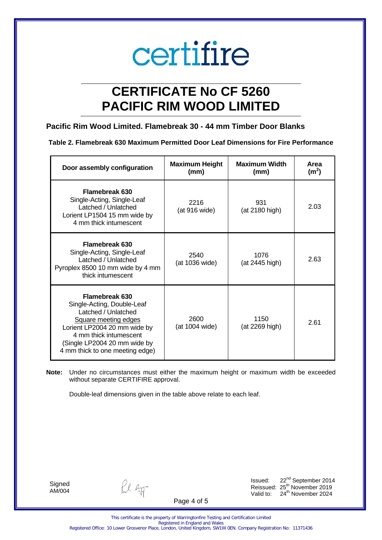## **CERTIFICATE No CF 5260 PACIFIC RIM WOOD LIMITED**

### **Pacific Rim Wood Limited. Flamebreak 30 - 44 mm Timber Door Blanks**

|  |  | Table 2. Flamebreak 630 Maximum Permitted Door Leaf Dimensions for Fire Performance |
|--|--|-------------------------------------------------------------------------------------|
|  |  |                                                                                     |

| Door assembly configuration                                                                                                                                                                                              | <b>Maximum Height</b><br>(mm) | <b>Maximum Width</b><br>(mm) | Area<br>(m <sup>2</sup> ) |
|--------------------------------------------------------------------------------------------------------------------------------------------------------------------------------------------------------------------------|-------------------------------|------------------------------|---------------------------|
| <b>Flamebreak 630</b><br>Single-Acting, Single-Leaf<br>Latched / Unlatched<br>Lorient LP1504 15 mm wide by<br>4 mm thick intumescent                                                                                     | 2216<br>(at 916 wide)         | 931<br>(at 2180 high)        | 2.03                      |
| <b>Flamebreak 630</b><br>Single-Acting, Single-Leaf<br>Latched / Unlatched<br>Pyroplex 8500 10 mm wide by 4 mm<br>thick intumescent                                                                                      | 2540<br>(at 1036 wide)        | 1076<br>(at 2445 high)       | 2.63                      |
| Flamebreak 630<br>Single-Acting, Double-Leaf<br>Latched / Unlatched<br>Square meeting edges<br>Lorient LP2004 20 mm wide by<br>4 mm thick intumescent<br>(Single LP2004 20 mm wide by<br>4 mm thick to one meeting edge) | 2600<br>(at 1004 wide)        | 1150<br>(at 2269 high)       | 2.61                      |

**Note:** Under no circumstances must either the maximum height or maximum width be exceeded without separate CERTIFIRE approval.

Double-leaf dimensions given in the table above relate to each leaf.

**Signed** AM/004

fil agg-

Issued: 22<sup>nd</sup> September 2014 Reissued:  $25<sup>th</sup>$  November 2019<br>Valid to:  $24<sup>th</sup>$  November 2024  $24<sup>th</sup>$  November 2024

Page 4 of 5

This certificate is the property of Warringtonfire Testing and Certification Limited Registered in England and Wales Registered Office: 10 Lower Grosvenor Place, London, United Kingdom, SW1W 0EN. Company Registration No: 11371436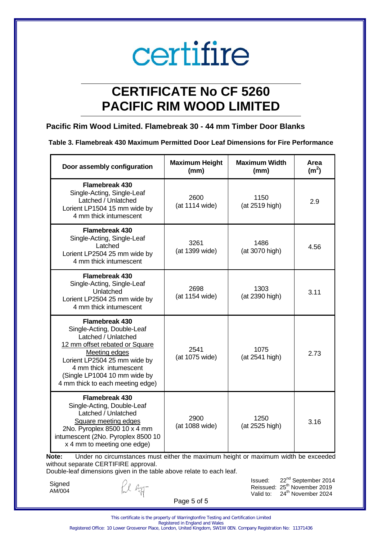## **CERTIFICATE No CF 5260 PACIFIC RIM WOOD LIMITED**

### **Pacific Rim Wood Limited. Flamebreak 30 - 44 mm Timber Door Blanks**

|  | Table 3. Flamebreak 430 Maximum Permitted Door Leaf Dimensions for Fire Performance |  |  |  |  |  |
|--|-------------------------------------------------------------------------------------|--|--|--|--|--|
|--|-------------------------------------------------------------------------------------|--|--|--|--|--|

| Door assembly configuration                                                                                                                                                                                                                                        | <b>Maximum Height</b><br>(mm) | <b>Maximum Width</b><br>(mm) | Area<br>(m <sup>2</sup> ) |
|--------------------------------------------------------------------------------------------------------------------------------------------------------------------------------------------------------------------------------------------------------------------|-------------------------------|------------------------------|---------------------------|
| Flamebreak 430<br>Single-Acting, Single-Leaf<br>Latched / Unlatched<br>Lorient LP1504 15 mm wide by<br>4 mm thick intumescent                                                                                                                                      | 2600<br>(at 1114 wide)        | 1150<br>(at 2519 high)       | 2.9                       |
| <b>Flamebreak 430</b><br>Single-Acting, Single-Leaf<br>Latched<br>Lorient LP2504 25 mm wide by<br>4 mm thick intumescent                                                                                                                                           | 3261<br>(at 1399 wide)        | 1486<br>(at 3070 high)       | 4.56                      |
| <b>Flamebreak 430</b><br>Single-Acting, Single-Leaf<br>Unlatched<br>Lorient LP2504 25 mm wide by<br>4 mm thick intumescent                                                                                                                                         | 2698<br>(at 1154 wide)        | 1303<br>(at 2390 high)       | 3.11                      |
| <b>Flamebreak 430</b><br>Single-Acting, Double-Leaf<br>Latched / Unlatched<br>12 mm offset rebated or Square<br><b>Meeting edges</b><br>Lorient LP2504 25 mm wide by<br>4 mm thick intumescent<br>(Single LP1004 10 mm wide by<br>4 mm thick to each meeting edge) | 2541<br>(at 1075 wide)        | 1075<br>(at 2541 high)       | 2.73                      |
| <b>Flamebreak 430</b><br>Single-Acting, Double-Leaf<br>Latched / Unlatched<br>Square meeting edges<br>2No. Pyroplex 8500 10 x 4 mm<br>intumescent (2No. Pyroplex 8500 10<br>x 4 mm to meeting one edge)                                                            | 2900<br>(at 1088 wide)        | 1250<br>(at 2525 high)       | 3.16                      |

**Note:** Under no circumstances must either the maximum height or maximum width be exceeded without separate CERTIFIRE approval.

Double-leaf dimensions given in the table above relate to each leaf.

**Signed** AM/004

Ll Ryg-

Issued: 22<sup>nd</sup> September 2014 Reissued:  $25<sup>th</sup>$  November 2019<br>Valid to:  $24<sup>th</sup>$  November 2024  $24<sup>th</sup>$  November 2024

Page 5 of 5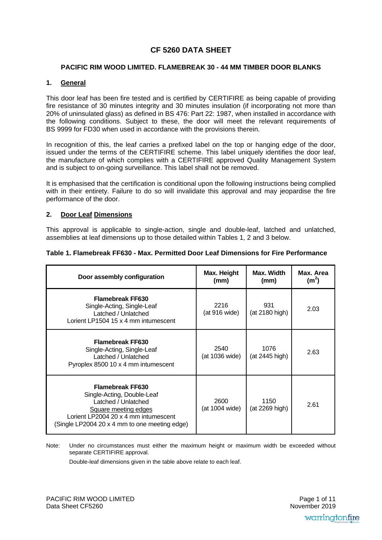### **CF 5260 DATA SHEET**

#### **PACIFIC RIM WOOD LIMITED. FLAMEBREAK 30 - 44 MM TIMBER DOOR BLANKS**

#### **1. General**

This door leaf has been fire tested and is certified by CERTIFIRE as being capable of providing fire resistance of 30 minutes integrity and 30 minutes insulation (if incorporating not more than 20% of uninsulated glass) as defined in BS 476: Part 22: 1987, when installed in accordance with the following conditions. Subject to these, the door will meet the relevant requirements of BS 9999 for FD30 when used in accordance with the provisions therein.

In recognition of this, the leaf carries a prefixed label on the top or hanging edge of the door, issued under the terms of the CERTIFIRE scheme. This label uniquely identifies the door leaf, the manufacture of which complies with a CERTIFIRE approved Quality Management System and is subject to on-going surveillance. This label shall not be removed.

It is emphasised that the certification is conditional upon the following instructions being complied with in their entirety. Failure to do so will invalidate this approval and may jeopardise the fire performance of the door.

#### **2. Door Leaf Dimensions**

This approval is applicable to single-action, single and double-leaf, latched and unlatched, assemblies at leaf dimensions up to those detailed within Tables 1, 2 and 3 below.

| Table 1. Flamebreak FF630 - Max. Permitted Door Leaf Dimensions for Fire Performance |  |  |
|--------------------------------------------------------------------------------------|--|--|
|--------------------------------------------------------------------------------------|--|--|

| Door assembly configuration                                                                                                                                                                   | Max. Height<br>(mm)    | Max. Width<br>(mm)     | Max. Area<br>(m <sup>2</sup> ) |
|-----------------------------------------------------------------------------------------------------------------------------------------------------------------------------------------------|------------------------|------------------------|--------------------------------|
| <b>Flamebreak FF630</b><br>Single-Acting, Single-Leaf<br>Latched / Unlatched<br>Lorient LP1504 15 x 4 mm intumescent                                                                          | 2216<br>(at 916 wide)  | 931<br>(at 2180 high)  | 2.03                           |
| <b>Flamebreak FF630</b><br>Single-Acting, Single-Leaf<br>Latched / Unlatched<br>Pyroplex 8500 10 x 4 mm intumescent                                                                           | 2540<br>(at 1036 wide) | 1076<br>(at 2445 high) | 2.63                           |
| <b>Flamebreak FF630</b><br>Single-Acting, Double-Leaf<br>Latched / Unlatched<br>Square meeting edges<br>Lorient LP2004 20 x 4 mm intumescent<br>(Single LP2004 20 x 4 mm to one meeting edge) | 2600<br>(at 1004 wide) | 1150<br>(at 2269 high) | 2.61                           |

Note: Under no circumstances must either the maximum height or maximum width be exceeded without separate CERTIFIRE approval.

Double-leaf dimensions given in the table above relate to each leaf.

 November 2019Page 1 of 11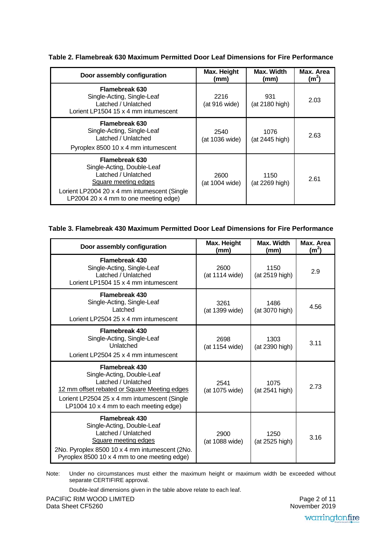| Door assembly configuration                                                                                                                                                                 | Max. Height<br>(mm)    | Max. Width<br>(mm)     | Max. Area<br>(m <sup>2</sup> ) |
|---------------------------------------------------------------------------------------------------------------------------------------------------------------------------------------------|------------------------|------------------------|--------------------------------|
| Flamebreak 630<br>Single-Acting, Single-Leaf<br>Latched / Unlatched<br>Lorient LP1504 15 x 4 mm intumescent                                                                                 | 2216<br>(at 916 wide)  | 931<br>(at 2180 high)  | 2.03                           |
| Flamebreak 630<br>Single-Acting, Single-Leaf<br>Latched / Unlatched<br>Pyroplex 8500 10 x 4 mm intumescent                                                                                  | 2540<br>(at 1036 wide) | 1076<br>(at 2445 high) | 2.63                           |
| <b>Flamebreak 630</b><br>Single-Acting, Double-Leaf<br>Latched / Unlatched<br>Square meeting edges<br>Lorient LP2004 20 x 4 mm intumescent (Single<br>LP2004 20 x 4 mm to one meeting edge) | 2600<br>(at 1004 wide) | 1150<br>(at 2269 high) | 2.61                           |

**Table 2. Flamebreak 630 Maximum Permitted Door Leaf Dimensions for Fire Performance** 

#### **Table 3. Flamebreak 430 Maximum Permitted Door Leaf Dimensions for Fire Performance**

| Door assembly configuration                                                                                                                                                                                          | Max. Height<br>(mm)    | Max. Width<br>(mm)     | Max. Area<br>(m <sup>2</sup> ) |
|----------------------------------------------------------------------------------------------------------------------------------------------------------------------------------------------------------------------|------------------------|------------------------|--------------------------------|
| <b>Flamebreak 430</b><br>Single-Acting, Single-Leaf<br>Latched / Unlatched<br>Lorient LP1504 15 x 4 mm intumescent                                                                                                   | 2600<br>(at 1114 wide) | 1150<br>(at 2519 high) | 2.9                            |
| <b>Flamebreak 430</b><br>Single-Acting, Single-Leaf<br>Latched<br>Lorient LP2504 25 x 4 mm intumescent                                                                                                               | 3261<br>(at 1399 wide) | 1486<br>(at 3070 high) | 4.56                           |
| <b>Flamebreak 430</b><br>Single-Acting, Single-Leaf<br>Unlatched<br>Lorient LP2504 25 x 4 mm intumescent                                                                                                             | 2698<br>(at 1154 wide) | 1303<br>(at 2390 high) | 3.11                           |
| <b>Flamebreak 430</b><br>Single-Acting, Double-Leaf<br>Latched / Unlatched<br>12 mm offset rebated or Square Meeting edges<br>Lorient LP2504 25 x 4 mm intumescent (Single<br>LP1004 10 x 4 mm to each meeting edge) | 2541<br>(at 1075 wide) | 1075<br>(at 2541 high) | 2.73                           |
| <b>Flamebreak 430</b><br>Single-Acting, Double-Leaf<br>Latched / Unlatched<br>Square meeting edges<br>2No. Pyroplex 8500 10 x 4 mm intumescent (2No.<br>Pyroplex 8500 10 x 4 mm to one meeting edge)                 | 2900<br>(at 1088 wide) | 1250<br>(at 2525 high) | 3.16                           |

Note: Under no circumstances must either the maximum height or maximum width be exceeded without separate CERTIFIRE approval.

Double-leaf dimensions given in the table above relate to each leaf.

יי<br>י Page 2 of 11 November 2019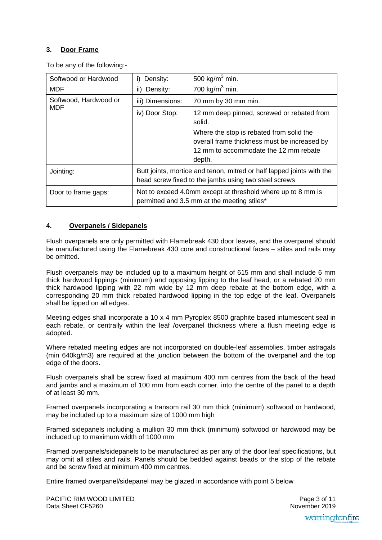#### **3. Door Frame**

To be any of the following:-

| Softwood or Hardwood  | Density:                                                                                                                      | 500 kg/m <sup>3</sup> min.                                                                                                                                                                          |  |
|-----------------------|-------------------------------------------------------------------------------------------------------------------------------|-----------------------------------------------------------------------------------------------------------------------------------------------------------------------------------------------------|--|
| <b>MDF</b>            | ii) Density:                                                                                                                  | 700 kg/m <sup>3</sup> min.                                                                                                                                                                          |  |
| Softwood, Hardwood or | iii) Dimensions:                                                                                                              | 70 mm by 30 mm min.                                                                                                                                                                                 |  |
| <b>MDF</b>            | iv) Door Stop:                                                                                                                | 12 mm deep pinned, screwed or rebated from<br>solid.<br>Where the stop is rebated from solid the<br>overall frame thickness must be increased by<br>12 mm to accommodate the 12 mm rebate<br>depth. |  |
| Jointing:             | Butt joints, mortice and tenon, mitred or half lapped joints with the<br>head screw fixed to the jambs using two steel screws |                                                                                                                                                                                                     |  |
| Door to frame gaps:   | Not to exceed 4.0mm except at threshold where up to 8 mm is<br>permitted and 3.5 mm at the meeting stiles*                    |                                                                                                                                                                                                     |  |

#### **4. Overpanels / Sidepanels**

Flush overpanels are only permitted with Flamebreak 430 door leaves, and the overpanel should be manufactured using the Flamebreak 430 core and constructional faces – stiles and rails may be omitted.

Flush overpanels may be included up to a maximum height of 615 mm and shall include 6 mm thick hardwood lippings (minimum) and opposing lipping to the leaf head, or a rebated 20 mm thick hardwood lipping with 22 mm wide by 12 mm deep rebate at the bottom edge, with a corresponding 20 mm thick rebated hardwood lipping in the top edge of the leaf. Overpanels shall be lipped on all edges.

Meeting edges shall incorporate a 10 x 4 mm Pyroplex 8500 graphite based intumescent seal in each rebate, or centrally within the leaf /overpanel thickness where a flush meeting edge is adopted.

Where rebated meeting edges are not incorporated on double-leaf assemblies, timber astragals (min 640kg/m3) are required at the junction between the bottom of the overpanel and the top edge of the doors.

Flush overpanels shall be screw fixed at maximum 400 mm centres from the back of the head and jambs and a maximum of 100 mm from each corner, into the centre of the panel to a depth of at least 30 mm.

Framed overpanels incorporating a transom rail 30 mm thick (minimum) softwood or hardwood, may be included up to a maximum size of 1000 mm high

Framed sidepanels including a mullion 30 mm thick (minimum) softwood or hardwood may be included up to maximum width of 1000 mm

Framed overpanels/sidepanels to be manufactured as per any of the door leaf specifications, but may omit all stiles and rails. Panels should be bedded against beads or the stop of the rebate and be screw fixed at minimum 400 mm centres.

Entire framed overpanel/sidepanel may be glazed in accordance with point 5 below

 November 2019Page 3 of 11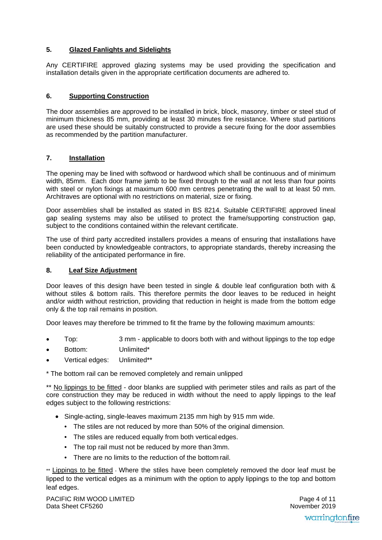#### **5. Glazed Fanlights and Sidelights**

Any CERTIFIRE approved glazing systems may be used providing the specification and installation details given in the appropriate certification documents are adhered to.

#### **6. Supporting Construction**

The door assemblies are approved to be installed in brick, block, masonry, timber or steel stud of minimum thickness 85 mm, providing at least 30 minutes fire resistance. Where stud partitions are used these should be suitably constructed to provide a secure fixing for the door assemblies as recommended by the partition manufacturer.

#### **7. Installation**

The opening may be lined with softwood or hardwood which shall be continuous and of minimum width, 85mm. Each door frame jamb to be fixed through to the wall at not less than four points with steel or nylon fixings at maximum 600 mm centres penetrating the wall to at least 50 mm. Architraves are optional with no restrictions on material, size or fixing.

Door assemblies shall be installed as stated in BS 8214. Suitable CERTIFIRE approved lineal gap sealing systems may also be utilised to protect the frame/supporting construction gap, subject to the conditions contained within the relevant certificate.

The use of third party accredited installers provides a means of ensuring that installations have been conducted by knowledgeable contractors, to appropriate standards, thereby increasing the reliability of the anticipated performance in fire.

#### **8. Leaf Size Adjustment**

Door leaves of this design have been tested in single & double leaf configuration both with & without stiles & bottom rails. This therefore permits the door leaves to be reduced in height and/or width without restriction, providing that reduction in height is made from the bottom edge only & the top rail remains in position.

Door leaves may therefore be trimmed to fit the frame by the following maximum amounts:

- Top: 3 mm applicable to doors both with and without lippings to the top edge
- Bottom: Unlimited\*
- Vertical edges: Unlimited\*\*

\* The bottom rail can be removed completely and remain unlipped

\*\* No lippings to be fitted - door blanks are supplied with perimeter stiles and rails as part of the core construction they may be reduced in width without the need to apply lippings to the leaf edges subject to the following restrictions:

- Single-acting, single-leaves maximum 2135 mm high by 915 mm wide.
	- The stiles are not reduced by more than 50% of the original dimension.
	- The stiles are reduced equally from both vertical edges.
	- The top rail must not be reduced by more than 3mm.
	- There are no limits to the reduction of the bottom rail.

\*\* Lippings to be fitted - Where the stiles have been completely removed the door leaf must be lipped to the vertical edges as a minimum with the option to apply lippings to the top and bottom leaf edges.

 November 2019Page 4 of 11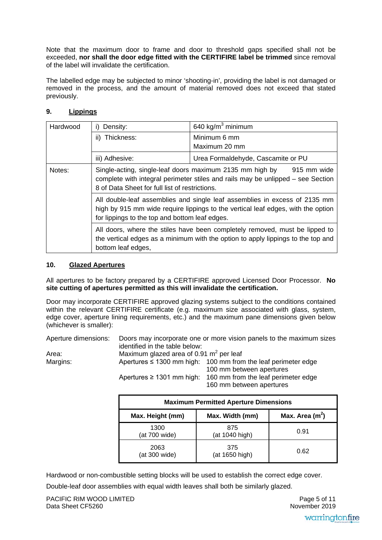Note that the maximum door to frame and door to threshold gaps specified shall not be exceeded, **nor shall the door edge fitted with the CERTIFIRE label be trimmed** since removal of the label will invalidate the certification.

The labelled edge may be subjected to minor 'shooting-in', providing the label is not damaged or removed in the process, and the amount of material removed does not exceed that stated previously.

#### **9. Lippings**

| Hardwood | Density:                                                                                                                                                                                                         | 640 kg/m <sup>3</sup> minimum                                                                                                                           |  |
|----------|------------------------------------------------------------------------------------------------------------------------------------------------------------------------------------------------------------------|---------------------------------------------------------------------------------------------------------------------------------------------------------|--|
|          | ii) Thickness:                                                                                                                                                                                                   | Minimum 6 mm                                                                                                                                            |  |
|          |                                                                                                                                                                                                                  | Maximum 20 mm                                                                                                                                           |  |
|          | iii) Adhesive:                                                                                                                                                                                                   | Urea Formaldehyde, Cascamite or PU                                                                                                                      |  |
| Notes:   | 8 of Data Sheet for full list of restrictions.                                                                                                                                                                   | Single-acting, single-leaf doors maximum 2135 mm high by 915 mm wide<br>complete with integral perimeter stiles and rails may be unlipped – see Section |  |
|          | All double-leaf assemblies and single leaf assemblies in excess of 2135 mm<br>high by 915 mm wide require lippings to the vertical leaf edges, with the option<br>for lippings to the top and bottom leaf edges. |                                                                                                                                                         |  |
|          | All doors, where the stiles have been completely removed, must be lipped to<br>the vertical edges as a minimum with the option to apply lippings to the top and<br>bottom leaf edges,                            |                                                                                                                                                         |  |

#### **10. Glazed Apertures**

All apertures to be factory prepared by a CERTIFIRE approved Licensed Door Processor. **No site cutting of apertures permitted as this will invalidate the certification.**

Door may incorporate CERTIFIRE approved glazing systems subject to the conditions contained within the relevant CERTIFIRE certificate (e.g. maximum size associated with glass, system, edge cover, aperture lining requirements, etc.) and the maximum pane dimensions given below (whichever is smaller):

Aperture dimensions: Doors may incorporate one or more vision panels to the maximum sizes identified in the table below: Area: Maximum glazed area of 0.91  $\text{m}^2$  per leaf

Margins: Apertures ≤ 1300 mm high: 100 mm from the leaf perimeter edge 100 mm between apertures Apertures  $\geq 1301$  mm high: 160 mm from the leaf perimeter edge 160 mm between apertures

| <b>Maximum Permitted Aperture Dimensions</b> |                       |                   |  |
|----------------------------------------------|-----------------------|-------------------|--|
| Max. Height (mm)                             | Max. Width (mm)       | Max. Area $(m^2)$ |  |
| 1300<br>(at 700 wide)                        | 875<br>(at 1040 high) | 0.91              |  |
| 2063<br>(at 300 wide)                        | 375<br>(at 1650 high) | 0.62              |  |

Hardwood or non-combustible setting blocks will be used to establish the correct edge cover.

Double-leaf door assemblies with equal width leaves shall both be similarly glazed.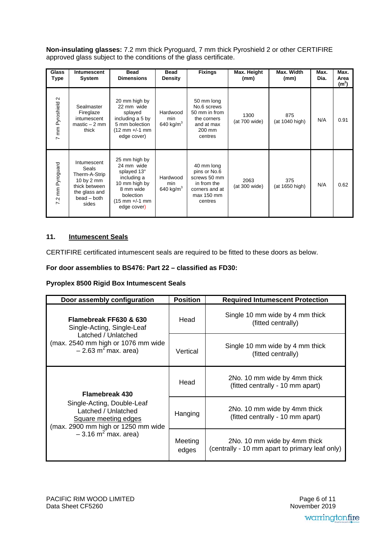**Non-insulating glasses:** 7.2 mm thick Pyroguard, 7 mm thick Pyroshield 2 or other CERTIFIRE approved glass subject to the conditions of the glass certificate.

| <b>Glass</b><br>Type | <b>Intumescent</b><br><b>System</b>                                                                           | <b>Bead</b><br><b>Dimensions</b>                                                                                                      | <b>Bead</b><br><b>Density</b>   | <b>Fixings</b>                                                                                       | Max. Height<br>(mm)   | Max. Width<br>(mm)    | Max.<br>Dia. | Max.<br>Area<br>(m <sup>2</sup> ) |
|----------------------|---------------------------------------------------------------------------------------------------------------|---------------------------------------------------------------------------------------------------------------------------------------|---------------------------------|------------------------------------------------------------------------------------------------------|-----------------------|-----------------------|--------------|-----------------------------------|
| 7 mm Pyroshield 2    | Sealmaster<br>Fireglaze<br>intumescent<br>$master - 2 mm$<br>thick                                            | 20 mm high by<br>22 mm wide<br>splayed<br>including a 5 by<br>5 mm bolection<br>$(12 \text{ mm} +/-1 \text{ mm})$<br>edge cover)      | Hardwood<br>min<br>640 kg/ $m3$ | 50 mm long<br>No.6 screws<br>50 mm in from<br>the corners<br>and at max<br>200 mm<br>centres         | 1300<br>(at 700 wide) | 875<br>(at 1040 high) | N/A          | 0.91                              |
| 7.2 mm Pyroguard     | Intumescent<br>Seals<br>Therm-A-Strip<br>10 by 2 mm<br>thick between<br>the glass and<br>bead – both<br>sides | 25 mm high by<br>24 mm wide<br>splayed 13°<br>including a<br>10 mm high by<br>8 mm wide<br>bolection<br>(15 mm +/-1 mm<br>edge cover) | Hardwood<br>min<br>640 kg/ $m3$ | 40 mm long<br>pins or No.6<br>screws 50 mm<br>in from the<br>corners and at<br>max 150 mm<br>centres | 2063<br>(at 300 wide) | 375<br>(at 1650 high) | N/A          | 0.62                              |

#### **11. Intumescent Seals**

CERTIFIRE certificated intumescent seals are required to be fitted to these doors as below.

#### **For door assemblies to BS476: Part 22 – classified as FD30:**

#### **Pyroplex 8500 Rigid Box Intumescent Seals**

| Door assembly configuration                                                                                     | <b>Position</b>  | <b>Required Intumescent Protection</b>                                         |  |
|-----------------------------------------------------------------------------------------------------------------|------------------|--------------------------------------------------------------------------------|--|
| Flamebreak FF630 & 630<br>Single-Acting, Single-Leaf                                                            | Head             | Single 10 mm wide by 4 mm thick<br>(fitted centrally)                          |  |
| Latched / Unlatched<br>(max. 2540 mm high or 1076 mm wide<br>$-2.63$ m <sup>2</sup> max. area)                  | Vertical         | Single 10 mm wide by 4 mm thick<br>(fitted centrally)                          |  |
| <b>Flamebreak 430</b>                                                                                           | Head             | 2No. 10 mm wide by 4mm thick<br>(fitted centrally - 10 mm apart)               |  |
| Single-Acting, Double-Leaf<br>Latched / Unlatched<br>Square meeting edges<br>(max. 2900 mm high or 1250 mm wide | Hanging          | 2No. 10 mm wide by 4mm thick<br>(fitted centrally - 10 mm apart)               |  |
| $-3.16 \text{ m}^2 \text{ max. area}$                                                                           | Meeting<br>edges | 2No. 10 mm wide by 4mm thick<br>(centrally - 10 mm apart to primary leaf only) |  |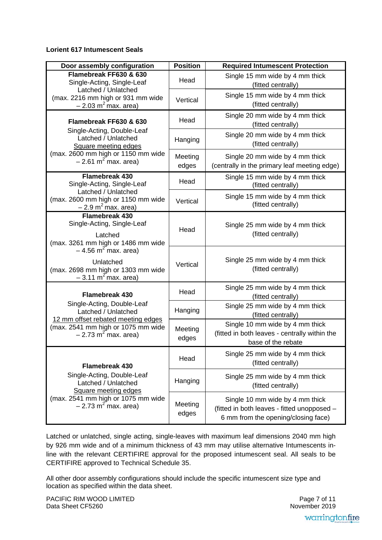#### **Lorient 617 Intumescent Seals**

| Door assembly configuration                                                                   | <b>Position</b>  | <b>Required Intumescent Protection</b>                                                                                |  |
|-----------------------------------------------------------------------------------------------|------------------|-----------------------------------------------------------------------------------------------------------------------|--|
| Flamebreak FF630 & 630<br>Single-Acting, Single-Leaf                                          | Head             | Single 15 mm wide by 4 mm thick<br>(fitted centrally)                                                                 |  |
| Latched / Unlatched<br>(max. 2216 mm high or 931 mm wide<br>$-2.03$ m <sup>2</sup> max. area) | Vertical         | Single 15 mm wide by 4 mm thick<br>(fitted centrally)                                                                 |  |
| Flamebreak FF630 & 630                                                                        | Head             | Single 20 mm wide by 4 mm thick<br>(fitted centrally)                                                                 |  |
| Single-Acting, Double-Leaf<br>Latched / Unlatched<br>Square meeting edges                     | Hanging          | Single 20 mm wide by 4 mm thick<br>(fitted centrally)                                                                 |  |
| (max. 2600 mm high or 1150 mm wide<br>$-2.61$ m <sup>2</sup> max. area)                       | Meeting<br>edges | Single 20 mm wide by 4 mm thick<br>(centrally in the primary leaf meeting edge)                                       |  |
| <b>Flamebreak 430</b><br>Single-Acting, Single-Leaf                                           | Head             | Single 15 mm wide by 4 mm thick<br>(fitted centrally)                                                                 |  |
| Latched / Unlatched<br>(max. 2600 mm high or 1150 mm wide<br>$-2.9$ m <sup>2</sup> max. area) | Vertical         | Single 15 mm wide by 4 mm thick<br>(fitted centrally)                                                                 |  |
| <b>Flamebreak 430</b><br>Single-Acting, Single-Leaf                                           | Head             | Single 25 mm wide by 4 mm thick<br>(fitted centrally)                                                                 |  |
| Latched<br>(max. 3261 mm high or 1486 mm wide<br>$-4.56$ m <sup>2</sup> max. area)            |                  |                                                                                                                       |  |
| Unlatched<br>(max. 2698 mm high or 1303 mm wide<br>$-3.11 \text{ m}^2 \text{max}$ . area)     | Vertical         | Single 25 mm wide by 4 mm thick<br>(fitted centrally)                                                                 |  |
| <b>Flamebreak 430</b>                                                                         | Head             | Single 25 mm wide by 4 mm thick<br>(fitted centrally)                                                                 |  |
| Single-Acting, Double-Leaf<br>Latched / Unlatched<br>12 mm offset rebated meeting edges       | Hanging          | Single 25 mm wide by 4 mm thick<br>(fitted centrally)                                                                 |  |
| (max. 2541 mm high or 1075 mm wide<br>$-2.73$ m <sup>2</sup> max. area)                       | Meeting<br>edges | Single 10 mm wide by 4 mm thick<br>(fitted in both leaves - centrally within the<br>base of the rebate                |  |
| <b>Flamebreak 430</b>                                                                         | Head             | Single 25 mm wide by 4 mm thick<br>(fitted centrally)                                                                 |  |
| Single-Acting, Double-Leaf<br>Latched / Unlatched<br>Square meeting edges                     | Hanging          | Single 25 mm wide by 4 mm thick<br>(fitted centrally)                                                                 |  |
| (max. 2541 mm high or 1075 mm wide<br>$-2.73$ m <sup>2</sup> max. area)                       | Meeting<br>edges | Single 10 mm wide by 4 mm thick<br>(fitted in both leaves - fitted unopposed -<br>6 mm from the opening/closing face) |  |

Latched or unlatched, single acting, single-leaves with maximum leaf dimensions 2040 mm high by 926 mm wide and of a minimum thickness of 43 mm may utilise alternative Intumescents inline with the relevant CERTIFIRE approval for the proposed intumescent seal. All seals to be CERTIFIRE approved to Technical Schedule 35.

All other door assembly configurations should include the specific intumescent size type and location as specified within the data sheet.

PACIFIC RIM WOOD LIMITED Data Sheet CF5260

 November 2019Page 7 of 11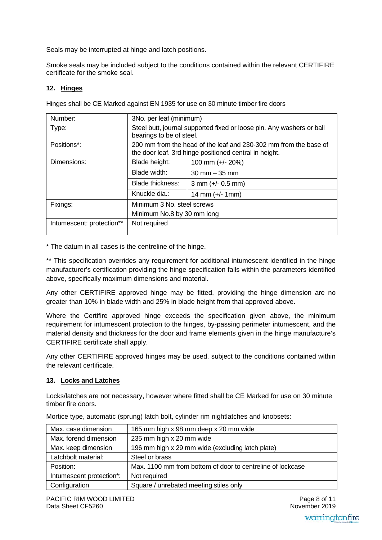Seals may be interrupted at hinge and latch positions.

Smoke seals may be included subject to the conditions contained within the relevant CERTIFIRE certificate for the smoke seal.

#### **12. Hinges**

| Number:                    | 3No. per leaf (minimum)                                                                                                    |                     |  |  |
|----------------------------|----------------------------------------------------------------------------------------------------------------------------|---------------------|--|--|
| Type:                      | Steel butt, journal supported fixed or loose pin. Any washers or ball<br>bearings to be of steel.                          |                     |  |  |
| Positions*:                | 200 mm from the head of the leaf and 230-302 mm from the base of<br>the door leaf. 3rd hinge positioned central in height. |                     |  |  |
| Dimensions:                | Blade height:                                                                                                              | 100 mm (+/- 20%)    |  |  |
|                            | Blade width:                                                                                                               | $30$ mm $-35$ mm    |  |  |
|                            | <b>Blade thickness:</b>                                                                                                    | $3$ mm (+/- 0.5 mm) |  |  |
|                            | Knuckle dia.:                                                                                                              | 14 mm $(+/- 1$ mm)  |  |  |
| Fixings:                   | Minimum 3 No. steel screws                                                                                                 |                     |  |  |
| Minimum No.8 by 30 mm long |                                                                                                                            |                     |  |  |
| Intumescent: protection**  | Not required                                                                                                               |                     |  |  |
|                            |                                                                                                                            |                     |  |  |

Hinges shall be CE Marked against EN 1935 for use on 30 minute timber fire doors

\* The datum in all cases is the centreline of the hinge.

\*\* This specification overrides any requirement for additional intumescent identified in the hinge manufacturer's certification providing the hinge specification falls within the parameters identified above, specifically maximum dimensions and material.

Any other CERTIFIRE approved hinge may be fitted, providing the hinge dimension are no greater than 10% in blade width and 25% in blade height from that approved above.

Where the Certifire approved hinge exceeds the specification given above, the minimum requirement for intumescent protection to the hinges, by-passing perimeter intumescent, and the material density and thickness for the door and frame elements given in the hinge manufacture's CERTIFIRE certificate shall apply.

Any other CERTIFIRE approved hinges may be used, subject to the conditions contained within the relevant certificate.

#### **13. Locks and Latches**

Locks/latches are not necessary, however where fitted shall be CE Marked for use on 30 minute timber fire doors.

| Max. case dimension      | 165 mm high x 98 mm deep x 20 mm wide                      |
|--------------------------|------------------------------------------------------------|
| Max. forend dimension    | 235 mm high x 20 mm wide                                   |
| Max. keep dimension      | 196 mm high x 29 mm wide (excluding latch plate)           |
| Latchbolt material:      | Steel or brass                                             |
| Position:                | Max. 1100 mm from bottom of door to centreline of lockcase |
| Intumescent protection*: | Not required                                               |
| Configuration            | Square / unrebated meeting stiles only                     |

Mortice type, automatic (sprung) latch bolt, cylinder rim nightlatches and knobsets: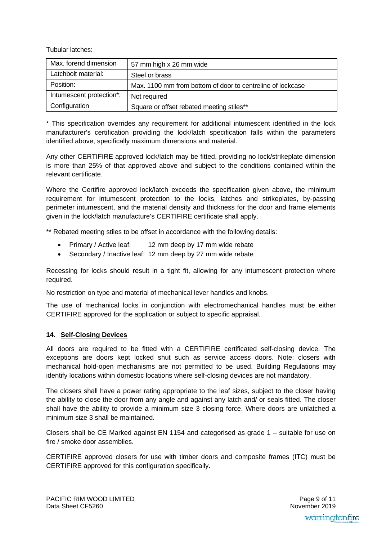Tubular latches:

| Max. forend dimension    | 57 mm high x 26 mm wide                                    |
|--------------------------|------------------------------------------------------------|
| Latchbolt material:      | Steel or brass                                             |
| Position:                | Max. 1100 mm from bottom of door to centreline of lockcase |
| Intumescent protection*: | Not required                                               |
| Configuration            | Square or offset rebated meeting stiles**                  |

\* This specification overrides any requirement for additional intumescent identified in the lock manufacturer's certification providing the lock/latch specification falls within the parameters identified above, specifically maximum dimensions and material.

Any other CERTIFIRE approved lock/latch may be fitted, providing no lock/strikeplate dimension is more than 25% of that approved above and subject to the conditions contained within the relevant certificate.

Where the Certifire approved lock/latch exceeds the specification given above, the minimum requirement for intumescent protection to the locks, latches and strikeplates, by-passing perimeter intumescent, and the material density and thickness for the door and frame elements given in the lock/latch manufacture's CERTIFIRE certificate shall apply.

\*\* Rebated meeting stiles to be offset in accordance with the following details:

- Primary / Active leaf: 12 mm deep by 17 mm wide rebate
- Secondary / Inactive leaf: 12 mm deep by 27 mm wide rebate

Recessing for locks should result in a tight fit, allowing for any intumescent protection where required.

No restriction on type and material of mechanical lever handles and knobs.

The use of mechanical locks in conjunction with electromechanical handles must be either CERTIFIRE approved for the application or subject to specific appraisal.

#### **14. Self-Closing Devices**

All doors are required to be fitted with a CERTIFIRE certificated self-closing device. The exceptions are doors kept locked shut such as service access doors. Note: closers with mechanical hold-open mechanisms are not permitted to be used. Building Regulations may identify locations within domestic locations where self-closing devices are not mandatory.

The closers shall have a power rating appropriate to the leaf sizes, subject to the closer having the ability to close the door from any angle and against any latch and/ or seals fitted. The closer shall have the ability to provide a minimum size 3 closing force. Where doors are unlatched a minimum size 3 shall be maintained.

Closers shall be CE Marked against EN 1154 and categorised as grade 1 – suitable for use on fire / smoke door assemblies.

CERTIFIRE approved closers for use with timber doors and composite frames (ITC) must be CERTIFIRE approved for this configuration specifically.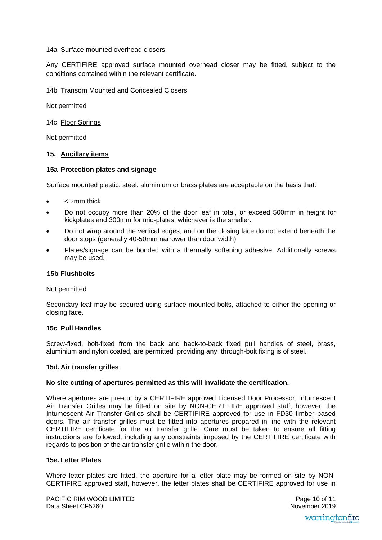#### 14a Surface mounted overhead closers

Any CERTIFIRE approved surface mounted overhead closer may be fitted, subject to the conditions contained within the relevant certificate.

#### 14b Transom Mounted and Concealed Closers

Not permitted

14c Floor Springs

Not permitted

#### **15. Ancillary items**

#### **15a Protection plates and signage**

Surface mounted plastic, steel, aluminium or brass plates are acceptable on the basis that:

- < 2mm thick
- Do not occupy more than 20% of the door leaf in total, or exceed 500mm in height for kickplates and 300mm for mid-plates, whichever is the smaller.
- Do not wrap around the vertical edges, and on the closing face do not extend beneath the door stops (generally 40-50mm narrower than door width)
- Plates/signage can be bonded with a thermally softening adhesive. Additionally screws may be used.

#### **15b Flushbolts**

#### Not permitted

Secondary leaf may be secured using surface mounted bolts, attached to either the opening or closing face.

#### **15c Pull Handles**

Screw-fixed, bolt-fixed from the back and back-to-back fixed pull handles of steel, brass, aluminium and nylon coated, are permitted providing any through-bolt fixing is of steel.

#### **15d. Air transfer grilles**

#### **No site cutting of apertures permitted as this will invalidate the certification.**

Where apertures are pre-cut by a CERTIFIRE approved Licensed Door Processor, Intumescent Air Transfer Grilles may be fitted on site by NON-CERTIFIRE approved staff, however, the Intumescent Air Transfer Grilles shall be CERTIFIRE approved for use in FD30 timber based doors. The air transfer grilles must be fitted into apertures prepared in line with the relevant CERTIFIRE certificate for the air transfer grille. Care must be taken to ensure all fitting instructions are followed, including any constraints imposed by the CERTIFIRE certificate with regards to position of the air transfer grille within the door.

#### **15e. Letter Plates**

Where letter plates are fitted, the aperture for a letter plate may be formed on site by NON-CERTIFIRE approved staff, however, the letter plates shall be CERTIFIRE approved for use in

 November 2019Page 10 of 11